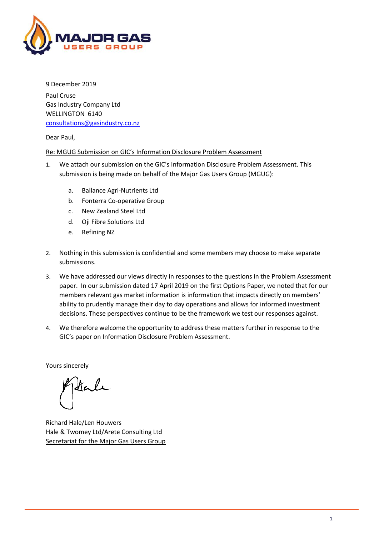

9 December 2019 Paul Cruse Gas Industry Company Ltd WELLINGTON 6140 [consultations@gasindustry.co.nz](mailto:consultations@gasindustry.co.nz)

Dear Paul,

## Re: MGUG Submission on GIC's Information Disclosure Problem Assessment

- 1. We attach our submission on the GIC's Information Disclosure Problem Assessment. This submission is being made on behalf of the Major Gas Users Group (MGUG):
	- a. Ballance Agri-Nutrients Ltd
	- b. Fonterra Co-operative Group
	- c. New Zealand Steel Ltd
	- d. Oji Fibre Solutions Ltd
	- e. Refining NZ
- 2. Nothing in this submission is confidential and some members may choose to make separate submissions.
- 3. We have addressed our views directly in responses to the questions in the Problem Assessment paper. In our submission dated 17 April 2019 on the first Options Paper, we noted that for our members relevant gas market information is information that impacts directly on members' ability to prudently manage their day to day operations and allows for informed investment decisions. These perspectives continue to be the framework we test our responses against.
- 4. We therefore welcome the opportunity to address these matters further in response to the GIC's paper on Information Disclosure Problem Assessment.

Yours sincerely

Sale

Richard Hale/Len Houwers Hale & Twomey Ltd/Arete Consulting Ltd Secretariat for the Major Gas Users Group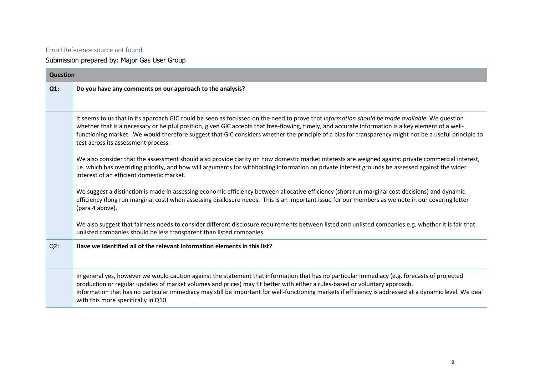## Error! Reference source not found.

Submission prepared by: Major Gas User Group

| <b>Question</b> |                                                                                                                                                                                                                                                                                                                                                                                                                                                                                                     |  |
|-----------------|-----------------------------------------------------------------------------------------------------------------------------------------------------------------------------------------------------------------------------------------------------------------------------------------------------------------------------------------------------------------------------------------------------------------------------------------------------------------------------------------------------|--|
| $Q1$ :          | Do you have any comments on our approach to the analysis?                                                                                                                                                                                                                                                                                                                                                                                                                                           |  |
|                 |                                                                                                                                                                                                                                                                                                                                                                                                                                                                                                     |  |
|                 | It seems to us that in its approach GIC could be seen as focussed on the need to prove that information should be made available. We question<br>whether that is a necessary or helpful position, given GIC accepts that free-flowing, timely, and accurate information is a key element of a well-<br>functioning market. We would therefore suggest that GIC considers whether the principle of a bias for transparency might not be a useful principle to<br>test across its assessment process. |  |
|                 | We also consider that the assessment should also provide clarity on how domestic market interests are weighed against private commercial interest,<br>i.e. which has overriding priority, and how will arguments for withholding information on private interest grounds be assessed against the wider<br>interest of an efficient domestic market.                                                                                                                                                 |  |
|                 | We suggest a distinction is made in assessing economic efficiency between allocative efficiency (short run marginal cost decisions) and dynamic<br>efficiency (long run marginal cost) when assessing disclosure needs. This is an important issue for our members as we note in our covering letter<br>(para 4 above).                                                                                                                                                                             |  |
|                 | We also suggest that fairness needs to consider different disclosure requirements between listed and unlisted companies e.g. whether it is fair that<br>unlisted companies should be less transparent than listed companies.                                                                                                                                                                                                                                                                        |  |
| $Q2$ :          | Have we identified all of the relevant information elements in this list?                                                                                                                                                                                                                                                                                                                                                                                                                           |  |
|                 | In general yes, however we would caution against the statement that information that has no particular immediacy (e.g. forecasts of projected<br>production or regular updates of market volumes and prices) may fit better with either a rules-based or voluntary approach.<br>Information that has no particular immediacy may still be important for well-functioning markets if efficiency is addressed at a dynamic level. We deal<br>with this more specifically in Q10.                      |  |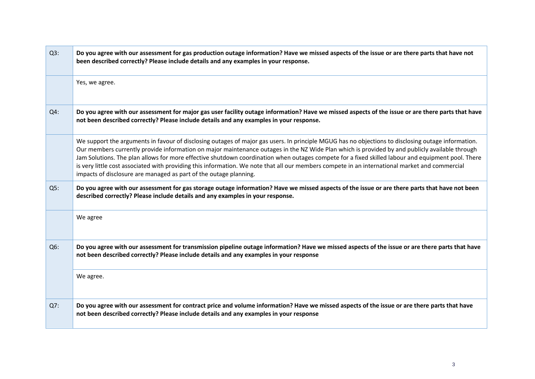| $Q3$ : | Do you agree with our assessment for gas production outage information? Have we missed aspects of the issue or are there parts that have not<br>been described correctly? Please include details and any examples in your response.                                                                                                                                                                                                                                                                                                                                                                                                                                              |
|--------|----------------------------------------------------------------------------------------------------------------------------------------------------------------------------------------------------------------------------------------------------------------------------------------------------------------------------------------------------------------------------------------------------------------------------------------------------------------------------------------------------------------------------------------------------------------------------------------------------------------------------------------------------------------------------------|
|        | Yes, we agree.                                                                                                                                                                                                                                                                                                                                                                                                                                                                                                                                                                                                                                                                   |
| $Q4$ : | Do you agree with our assessment for major gas user facility outage information? Have we missed aspects of the issue or are there parts that have<br>not been described correctly? Please include details and any examples in your response.                                                                                                                                                                                                                                                                                                                                                                                                                                     |
|        | We support the arguments in favour of disclosing outages of major gas users. In principle MGUG has no objections to disclosing outage information.<br>Our members currently provide information on major maintenance outages in the NZ Wide Plan which is provided by and publicly available through<br>Jam Solutions. The plan allows for more effective shutdown coordination when outages compete for a fixed skilled labour and equipment pool. There<br>is very little cost associated with providing this information. We note that all our members compete in an international market and commercial<br>impacts of disclosure are managed as part of the outage planning. |
| Q5:    | Do you agree with our assessment for gas storage outage information? Have we missed aspects of the issue or are there parts that have not been<br>described correctly? Please include details and any examples in your response.                                                                                                                                                                                                                                                                                                                                                                                                                                                 |
|        | We agree                                                                                                                                                                                                                                                                                                                                                                                                                                                                                                                                                                                                                                                                         |
| $Q6$ : | Do you agree with our assessment for transmission pipeline outage information? Have we missed aspects of the issue or are there parts that have<br>not been described correctly? Please include details and any examples in your response                                                                                                                                                                                                                                                                                                                                                                                                                                        |
|        | We agree.                                                                                                                                                                                                                                                                                                                                                                                                                                                                                                                                                                                                                                                                        |
| Q7:    | Do you agree with our assessment for contract price and volume information? Have we missed aspects of the issue or are there parts that have<br>not been described correctly? Please include details and any examples in your response                                                                                                                                                                                                                                                                                                                                                                                                                                           |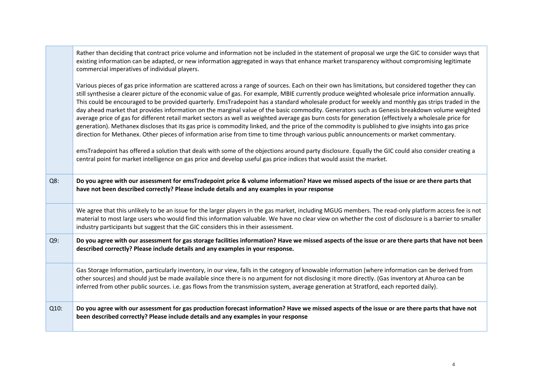|        | Rather than deciding that contract price volume and information not be included in the statement of proposal we urge the GIC to consider ways that<br>existing information can be adapted, or new information aggregated in ways that enhance market transparency without compromising legitimate<br>commercial imperatives of individual players.                                                                                                                                                                                                                                                                                                                                                                                                                                                                                                                                                                                                                                                                                                                                                                                                                                                                                                                                                                                                          |
|--------|-------------------------------------------------------------------------------------------------------------------------------------------------------------------------------------------------------------------------------------------------------------------------------------------------------------------------------------------------------------------------------------------------------------------------------------------------------------------------------------------------------------------------------------------------------------------------------------------------------------------------------------------------------------------------------------------------------------------------------------------------------------------------------------------------------------------------------------------------------------------------------------------------------------------------------------------------------------------------------------------------------------------------------------------------------------------------------------------------------------------------------------------------------------------------------------------------------------------------------------------------------------------------------------------------------------------------------------------------------------|
|        | Various pieces of gas price information are scattered across a range of sources. Each on their own has limitations, but considered together they can<br>still synthesise a clearer picture of the economic value of gas. For example, MBIE currently produce weighted wholesale price information annually.<br>This could be encouraged to be provided quarterly. EmsTradepoint has a standard wholesale product for weekly and monthly gas strips traded in the<br>day ahead market that provides information on the marginal value of the basic commodity. Generators such as Genesis breakdown volume weighted<br>average price of gas for different retail market sectors as well as weighted average gas burn costs for generation (effectively a wholesale price for<br>generation). Methanex discloses that its gas price is commodity linked, and the price of the commodity is published to give insights into gas price<br>direction for Methanex. Other pieces of information arise from time to time through various public announcements or market commentary.<br>emsTradepoint has offered a solution that deals with some of the objections around party disclosure. Equally the GIC could also consider creating a<br>central point for market intelligence on gas price and develop useful gas price indices that would assist the market. |
| $Q8$ : | Do you agree with our assessment for emsTradepoint price & volume information? Have we missed aspects of the issue or are there parts that<br>have not been described correctly? Please include details and any examples in your response                                                                                                                                                                                                                                                                                                                                                                                                                                                                                                                                                                                                                                                                                                                                                                                                                                                                                                                                                                                                                                                                                                                   |
|        | We agree that this unlikely to be an issue for the larger players in the gas market, including MGUG members. The read-only platform access fee is not<br>material to most large users who would find this information valuable. We have no clear view on whether the cost of disclosure is a barrier to smaller<br>industry participants but suggest that the GIC considers this in their assessment.                                                                                                                                                                                                                                                                                                                                                                                                                                                                                                                                                                                                                                                                                                                                                                                                                                                                                                                                                       |
| $Q9$ : | Do you agree with our assessment for gas storage facilities information? Have we missed aspects of the issue or are there parts that have not been<br>described correctly? Please include details and any examples in your response.                                                                                                                                                                                                                                                                                                                                                                                                                                                                                                                                                                                                                                                                                                                                                                                                                                                                                                                                                                                                                                                                                                                        |
|        | Gas Storage Information, particularly inventory, in our view, falls in the category of knowable information (where information can be derived from<br>other sources) and should just be made available since there is no argument for not disclosing it more directly. (Gas inventory at Ahuroa can be<br>inferred from other public sources. i.e. gas flows from the transmission system, average generation at Stratford, each reported daily).                                                                                                                                                                                                                                                                                                                                                                                                                                                                                                                                                                                                                                                                                                                                                                                                                                                                                                           |
| Q10:   | Do you agree with our assessment for gas production forecast information? Have we missed aspects of the issue or are there parts that have not<br>been described correctly? Please include details and any examples in your response                                                                                                                                                                                                                                                                                                                                                                                                                                                                                                                                                                                                                                                                                                                                                                                                                                                                                                                                                                                                                                                                                                                        |